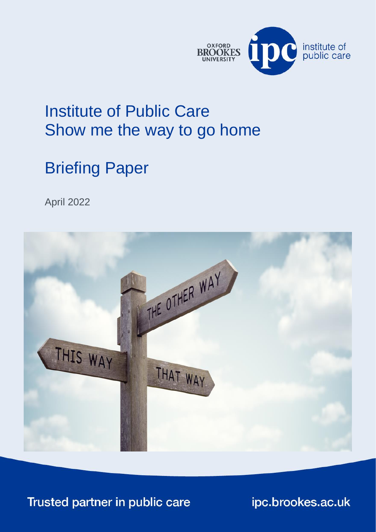

## <span id="page-0-2"></span><span id="page-0-0"></span>Institute of Public Care Show me the way to go home

## Briefing Paper

<span id="page-0-1"></span>April 2022



Trusted partner in public care

ipc.brookes.ac.uk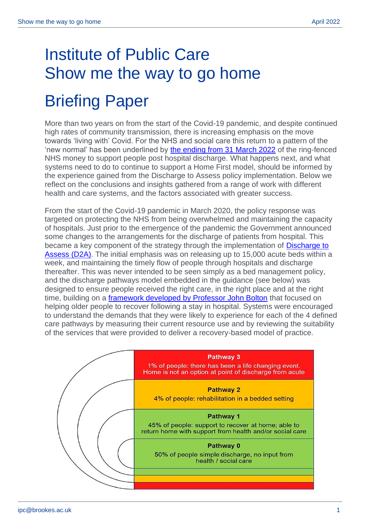## [Institute of Public Care](#page-0-2) [Show me the way to go home](#page-0-0)

## Briefing Paper

More than two years on from the start of the Covid-19 pandemic, and despite continued high rates of community transmission, there is increasing emphasis on the move towards 'living with' Covid. For the NHS and social care this return to a pattern of the 'new normal' has been underlined by [the ending from 31 March 2022](https://www.england.nhs.uk/coronavirus/publication/funding-of-discharge-services-from-acute-care-in-2022-23/) of the ring-fenced NHS money to support people post hospital discharge. What happens next, and what systems need to do to continue to support a Home First model, should be informed by the experience gained from the Discharge to Assess policy implementation. Below we reflect on the conclusions and insights gathered from a range of work with different health and care systems, and the factors associated with greater success.

From the start of the Covid-19 pandemic in March 2020, the policy response was targeted on protecting the NHS from being overwhelmed and maintaining the capacity of hospitals. Just prior to the emergence of the pandemic the Government announced some changes to the arrangements for the discharge of patients from hospital. This became a key component of the strategy through the implementation of [Discharge to](https://www.gov.uk/government/collections/hospital-discharge-service-guidance)  [Assess \(D2A\).](https://www.gov.uk/government/collections/hospital-discharge-service-guidance) The initial emphasis was on releasing up to 15,000 acute beds within a week, and maintaining the timely flow of people through hospitals and discharge thereafter. This was never intended to be seen simply as a bed management policy, and the discharge pathways model embedded in the guidance (see below) was designed to ensure people received the right care, in the right place and at the right time, building on a *framework developed by Professor John Bolton* that focused on helping older people to recover following a stay in hospital. Systems were encouraged to understand the demands that they were likely to experience for each of the 4 defined care pathways by measuring their current resource use and by reviewing the suitability of the services that were provided to deliver a recovery-based model of practice.

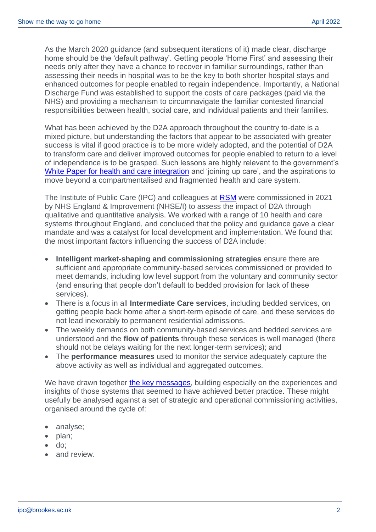As the March 2020 guidance (and subsequent iterations of it) made clear, discharge home should be the 'default pathway'. Getting people 'Home First' and assessing their needs only after they have a chance to recover in familiar surroundings, rather than assessing their needs in hospital was to be the key to both shorter hospital stays and enhanced outcomes for people enabled to regain independence. Importantly, a National Discharge Fund was established to support the costs of care packages (paid via the NHS) and providing a mechanism to circumnavigate the familiar contested financial responsibilities between health, social care, and individual patients and their families.

What has been achieved by the D2A approach throughout the country to-date is a mixed picture, but understanding the factors that appear to be associated with greater success is vital if good practice is to be more widely adopted, and the potential of D2A to transform care and deliver improved outcomes for people enabled to return to a level of independence is to be grasped. Such lessons are highly relevant to the government's [White Paper for health and care integration](https://www.gov.uk/government/publications/health-and-social-care-integration-joining-up-care-for-people-places-and-populations) and 'joining up care', and the aspirations to move beyond a compartmentalised and fragmented health and care system.

The Institute of Public Care (IPC) and colleagues at [RSM](https://www.rsmuk.com/) were commissioned in 2021 by NHS England & Improvement (NHSE/I) to assess the impact of D2A through qualitative and quantitative analysis. We worked with a range of 10 health and care systems throughout England, and concluded that the policy and guidance gave a clear mandate and was a catalyst for local development and implementation. We found that the most important factors influencing the success of D2A include:

- **Intelligent market-shaping and commissioning strategies** ensure there are sufficient and appropriate community-based services commissioned or provided to meet demands, including low level support from the voluntary and community sector (and ensuring that people don't default to bedded provision for lack of these services).
- There is a focus in all **Intermediate Care services**, including bedded services, on getting people back home after a short-term episode of care, and these services do not lead inexorably to permanent residential admissions.
- The weekly demands on both community-based services and bedded services are understood and the **flow of patients** through these services is well managed (there should not be delays waiting for the next longer-term services); and
- The **performance measures** used to monitor the service adequately capture the above activity as well as individual and aggregated outcomes.

We have drawn together [the key messages,](https://www.england.nhs.uk/coronavirus/wp-content/uploads/sites/52/2022/03/B1412_iii-annex-b-RSM-effective-commissioning-for-a-homefirst-approach.pdf) building especially on the experiences and insights of those systems that seemed to have achieved better practice. These might usefully be analysed against a set of strategic and operational commissioning activities, organised around the cycle of:

- analyse;
- plan;
- do;
- and review.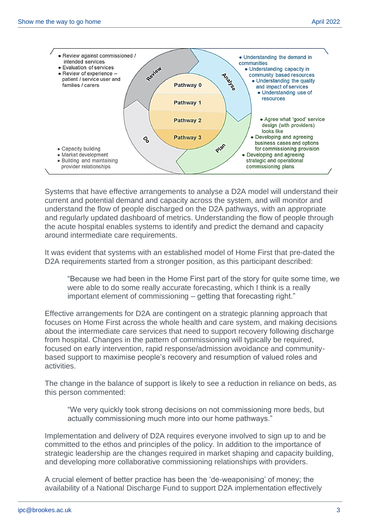

Systems that have effective arrangements to analyse a D2A model will understand their current and potential demand and capacity across the system, and will monitor and understand the flow of people discharged on the D2A pathways, with an appropriate and regularly updated dashboard of metrics. Understanding the flow of people through the acute hospital enables systems to identify and predict the demand and capacity around intermediate care requirements.

It was evident that systems with an established model of Home First that pre-dated the D2A requirements started from a stronger position, as this participant described:

"Because we had been in the Home First part of the story for quite some time, we were able to do some really accurate forecasting, which I think is a really important element of commissioning – getting that forecasting right."

Effective arrangements for D2A are contingent on a strategic planning approach that focuses on Home First across the whole health and care system, and making decisions about the intermediate care services that need to support recovery following discharge from hospital. Changes in the pattern of commissioning will typically be required, focused on early intervention, rapid response/admission avoidance and communitybased support to maximise people's recovery and resumption of valued roles and activities.

The change in the balance of support is likely to see a reduction in reliance on beds, as this person commented:

"We very quickly took strong decisions on not commissioning more beds, but actually commissioning much more into our home pathways."

Implementation and delivery of D2A requires everyone involved to sign up to and be committed to the ethos and principles of the policy. In addition to the importance of strategic leadership are the changes required in market shaping and capacity building, and developing more collaborative commissioning relationships with providers.

A crucial element of better practice has been the 'de-weaponising' of money; the availability of a National Discharge Fund to support D2A implementation effectively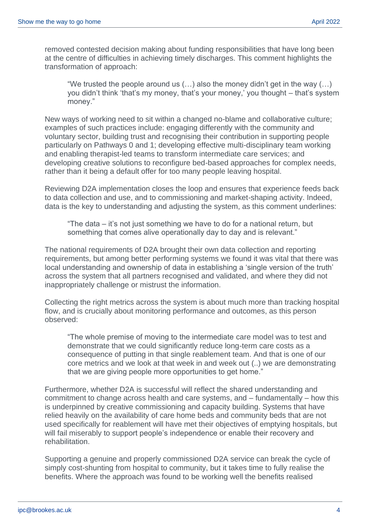removed contested decision making about funding responsibilities that have long been at the centre of difficulties in achieving timely discharges. This comment highlights the transformation of approach:

"We trusted the people around us  $(...)$  also the money didn't get in the way  $(...)$ you didn't think 'that's my money, that's your money,' you thought – that's system money."

New ways of working need to sit within a changed no-blame and collaborative culture; examples of such practices include: engaging differently with the community and voluntary sector, building trust and recognising their contribution in supporting people particularly on Pathways 0 and 1; developing effective multi-disciplinary team working and enabling therapist-led teams to transform intermediate care services; and developing creative solutions to reconfigure bed-based approaches for complex needs, rather than it being a default offer for too many people leaving hospital.

Reviewing D2A implementation closes the loop and ensures that experience feeds back to data collection and use, and to commissioning and market-shaping activity. Indeed, data is the key to understanding and adjusting the system, as this comment underlines:

"The data – it's not just something we have to do for a national return, but something that comes alive operationally day to day and is relevant."

The national requirements of D2A brought their own data collection and reporting requirements, but among better performing systems we found it was vital that there was local understanding and ownership of data in establishing a 'single version of the truth' across the system that all partners recognised and validated, and where they did not inappropriately challenge or mistrust the information.

Collecting the right metrics across the system is about much more than tracking hospital flow, and is crucially about monitoring performance and outcomes, as this person observed:

"The whole premise of moving to the intermediate care model was to test and demonstrate that we could significantly reduce long-term care costs as a consequence of putting in that single reablement team. And that is one of our core metrics and we look at that week in and week out (..) we are demonstrating that we are giving people more opportunities to get home."

Furthermore, whether D2A is successful will reflect the shared understanding and commitment to change across health and care systems, and – fundamentally – how this is underpinned by creative commissioning and capacity building. Systems that have relied heavily on the availability of care home beds and community beds that are not used specifically for reablement will have met their objectives of emptying hospitals, but will fail miserably to support people's independence or enable their recovery and rehabilitation.

Supporting a genuine and properly commissioned D2A service can break the cycle of simply cost-shunting from hospital to community, but it takes time to fully realise the benefits. Where the approach was found to be working well the benefits realised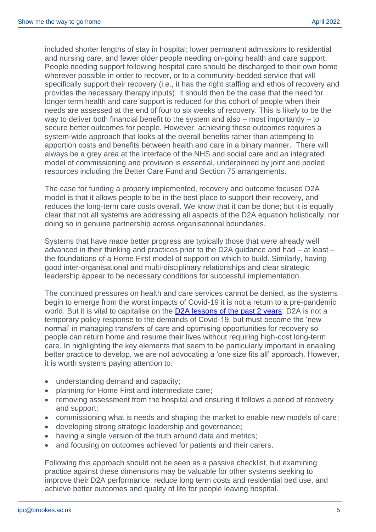included shorter lengths of stay in hospital; lower permanent admissions to residential and nursing care, and fewer older people needing on-going health and care support. People needing support following hospital care should be discharged to their own home wherever possible in order to recover, or to a community-bedded service that will specifically support their recovery (i.e., it has the right staffing and ethos of recovery and provides the necessary therapy inputs). It should then be the case that the need for longer term health and care support is reduced for this cohort of people when their needs are assessed at the end of four to six weeks of recovery. This is likely to be the way to deliver both financial benefit to the system and also – most importantly – to secure better outcomes for people. However, achieving these outcomes requires a system-wide approach that looks at the overall benefits rather than attempting to apportion costs and benefits between health and care in a binary manner. There will always be a grey area at the interface of the NHS and social care and an integrated model of commissioning and provision is essential, underpinned by joint and pooled resources including the Better Care Fund and Section 75 arrangements.

The case for funding a properly implemented, recovery and outcome focused D2A model is that it allows people to be in the best place to support their recovery, and reduces the long-term care costs overall. We know that it can be done; but it is equally clear that not all systems are addressing all aspects of the D2A equation holistically, nor doing so in genuine partnership across organisational boundaries.

Systems that have made better progress are typically those that were already well advanced in their thinking and practices prior to the D2A guidance and had – at least – the foundations of a Home First model of support on which to build. Similarly, having good inter-organisational and multi-disciplinary relationships and clear strategic leadership appear to be necessary conditions for successful implementation.

The continued pressures on health and care services cannot be denied, as the systems begin to emerge from the worst impacts of Covid-19 it is not a return to a pre-pandemic world. But it is vital to capitalise on the [D2A lessons of the past 2 years;](https://www.local.gov.uk/our-support/our-improvement-offer/care-and-health-improvement/systems-resilience/home-first-tips) D2A is not a temporary policy response to the demands of Covid-19, but must become the 'new normal' in managing transfers of care and optimising opportunities for recovery so people can return home and resume their lives without requiring high-cost long-term care. In highlighting the key elements that seem to be particularly important in enabling better practice to develop, we are not advocating a 'one size fits all' approach. However, it is worth systems paying attention to:

- understanding demand and capacity;
- planning for Home First and intermediate care;
- removing assessment from the hospital and ensuring it follows a period of recovery and support;
- commissioning what is needs and shaping the market to enable new models of care;
- developing strong strategic leadership and governance;
- having a single version of the truth around data and metrics;
- and focusing on outcomes achieved for patients and their carers.

Following this approach should not be seen as a passive checklist, but examining practice against these dimensions may be valuable for other systems seeking to improve their D2A performance, reduce long term costs and residential bed use, and achieve better outcomes and quality of life for people leaving hospital.